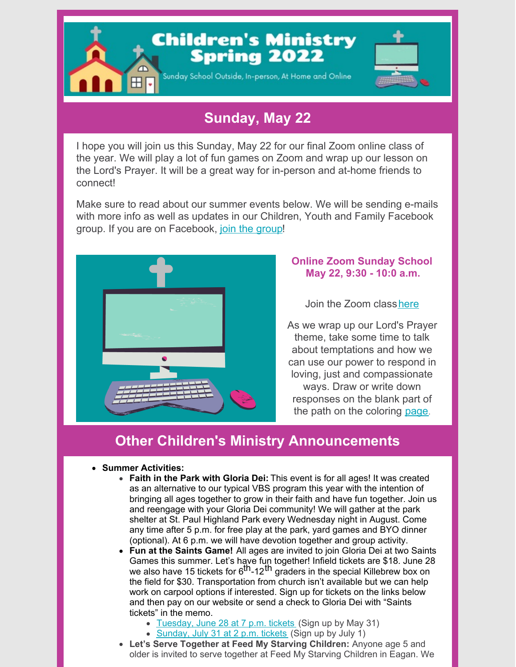

## **Sunday, May 22**

I hope you will join us this Sunday, May 22 for our final Zoom online class of the year. We will play a lot of fun games on Zoom and wrap up our lesson on the Lord's Prayer. It will be a great way for in-person and at-home friends to connect!

Make sure to read about our summer events below. We will be sending e-mails with more info as well as updates in our Children, Youth and Family Facebook group. If you are on Facebook, join the [group](https://www.facebook.com/groups/gdlcyouthmin)!



## **Online Zoom Sunday School May 22, 9:30 - 10:0 a.m.**

Join the Zoom class[here](https://us06web.zoom.us/j/89537893587?pwd=UGhrM1hVbHEzR25qVlVPZzMwSCtCdz09)

As we wrap up our Lord's Prayer theme, take some time to talk about temptations and how we can use our power to respond in loving, just and compassionate ways. Draw or write down responses on the blank part of the path on the coloring [page](https://files.constantcontact.com/77ce1ffa001/9495e96d-c81d-428a-8896-2a571e46bcf4.pdf).

## **Other Children's Ministry Announcements**

## **Summer Activities:**

- **Faith in the Park with Gloria Dei:** This event is for all ages! It was created as an alternative to our typical VBS program this year with the intention of bringing all ages together to grow in their faith and have fun together. Join us and reengage with your Gloria Dei community! We will gather at the park shelter at St. Paul Highland Park every Wednesday night in August. Come any time after 5 p.m. for free play at the park, yard games and BYO dinner (optional). At 6 p.m. we will have devotion together and group activity.
- **Fun at the Saints Game!** All ages are invited to join Gloria Dei at two Saints Games this summer. Let's have fun together! Infield tickets are \$18. June 28 we also have 15 tickets for 6<sup>th</sup>-12<sup>th</sup> graders in the special Killebrew box on the field for \$30. Transportation from church isn't available but we can help work on carpool options if interested. Sign up for tickets on the links below and then pay on our website or send a check to Gloria Dei with "Saints tickets" in the memo.
	- [Tuesday,](https://gloriadeistpaul.wufoo.com/forms/qfrqe5a0cf9cpf/) June 28 at 7 p.m. tickets (Sign up by May 31)
	- [Sunday,](https://gloriadeistpaul.wufoo.com/forms/q19it1lt11dyoer/) July 31 at 2 p.m. tickets (Sign up by July 1)
- **Let's Serve Together at Feed My Starving Children:** Anyone age 5 and older is invited to serve together at Feed My Starving Children in Eagan. We